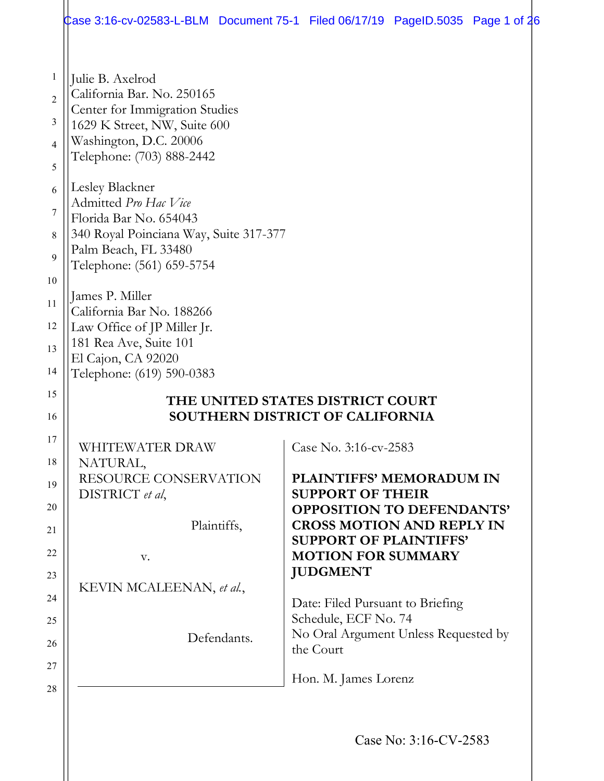|                                                                                      | Case 3:16-cv-02583-L-BLM Document 75-1 Filed 06/17/19 PageID.5035 Page 1 of 26                                                                                                                                                                                                                                                                                                                                                                                                                           |  |                                                                      |  |  |  |
|--------------------------------------------------------------------------------------|----------------------------------------------------------------------------------------------------------------------------------------------------------------------------------------------------------------------------------------------------------------------------------------------------------------------------------------------------------------------------------------------------------------------------------------------------------------------------------------------------------|--|----------------------------------------------------------------------|--|--|--|
| 1<br>$\overline{2}$<br>3<br>4<br>5<br>6<br>7<br>8<br>9<br>10<br>11<br>12<br>13<br>14 | Julie B. Axelrod<br>California Bar. No. 250165<br>Center for Immigration Studies<br>1629 K Street, NW, Suite 600<br>Washington, D.C. 20006<br>Telephone: (703) 888-2442<br>Lesley Blackner<br>Admitted Pro Hac Vice<br>Florida Bar No. 654043<br>340 Royal Poinciana Way, Suite 317-377<br>Palm Beach, FL 33480<br>Telephone: (561) 659-5754<br>James P. Miller<br>California Bar No. 188266<br>Law Office of JP Miller Jr.<br>181 Rea Ave, Suite 101<br>El Cajon, CA 92020<br>Telephone: (619) 590-0383 |  |                                                                      |  |  |  |
| 15<br>16                                                                             | THE UNITED STATES DISTRICT COURT<br>SOUTHERN DISTRICT OF CALIFORNIA                                                                                                                                                                                                                                                                                                                                                                                                                                      |  |                                                                      |  |  |  |
| 17                                                                                   | WHITEWATER DRAW                                                                                                                                                                                                                                                                                                                                                                                                                                                                                          |  | Case No. 3:16-cv-2583                                                |  |  |  |
| 18<br>19                                                                             | NATURAL,<br>RESOURCE CONSERVATION<br>DISTRICT et al,                                                                                                                                                                                                                                                                                                                                                                                                                                                     |  | <b>PLAINTIFFS' MEMORADUM IN</b><br><b>SUPPORT OF THEIR</b>           |  |  |  |
| 20<br>21                                                                             | Plaintiffs,                                                                                                                                                                                                                                                                                                                                                                                                                                                                                              |  | <b>OPPOSITION TO DEFENDANTS'</b><br><b>CROSS MOTION AND REPLY IN</b> |  |  |  |
| 22                                                                                   | V.                                                                                                                                                                                                                                                                                                                                                                                                                                                                                                       |  | <b>SUPPORT OF PLAINTIFFS'</b><br><b>MOTION FOR SUMMARY</b>           |  |  |  |
| 23                                                                                   |                                                                                                                                                                                                                                                                                                                                                                                                                                                                                                          |  | <b>JUDGMENT</b>                                                      |  |  |  |
| 24                                                                                   | KEVIN MCALEENAN, et al.,                                                                                                                                                                                                                                                                                                                                                                                                                                                                                 |  | Date: Filed Pursuant to Briefing                                     |  |  |  |
| 25                                                                                   |                                                                                                                                                                                                                                                                                                                                                                                                                                                                                                          |  | Schedule, ECF No. 74<br>No Oral Argument Unless Requested by         |  |  |  |
| 26                                                                                   | Defendants.                                                                                                                                                                                                                                                                                                                                                                                                                                                                                              |  | the Court                                                            |  |  |  |
| 27                                                                                   |                                                                                                                                                                                                                                                                                                                                                                                                                                                                                                          |  | Hon. M. James Lorenz                                                 |  |  |  |
| 28                                                                                   |                                                                                                                                                                                                                                                                                                                                                                                                                                                                                                          |  |                                                                      |  |  |  |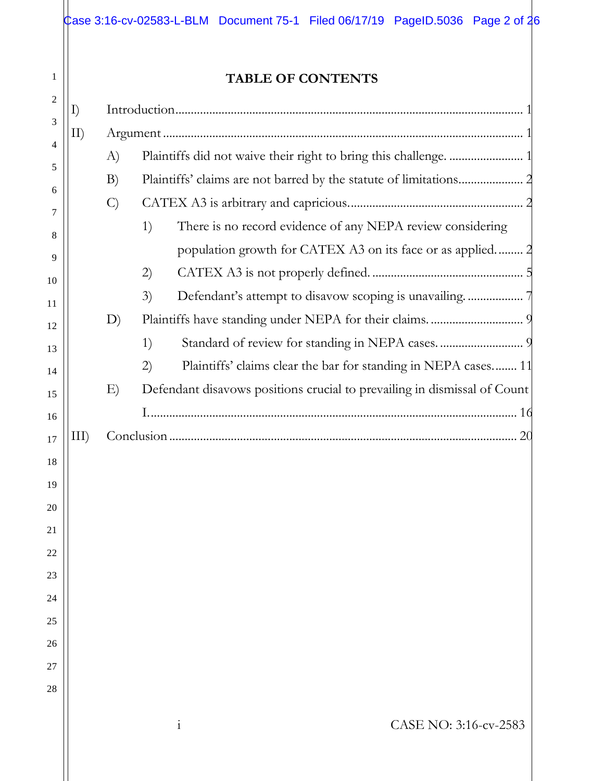|    |               | <b>TABLE OF CONTENTS</b>                                                 |
|----|---------------|--------------------------------------------------------------------------|
| I) |               |                                                                          |
| II |               |                                                                          |
|    | A)            |                                                                          |
|    | B)            |                                                                          |
|    | $\mathcal{C}$ |                                                                          |
|    |               | There is no record evidence of any NEPA review considering<br>1)         |
|    |               | population growth for CATEX A3 on its face or as applied 2               |
|    |               | 2)                                                                       |
|    |               | 3)                                                                       |
|    | D)            |                                                                          |
|    |               | 1)                                                                       |
|    |               | Plaintiffs' claims clear the bar for standing in NEPA cases 11<br>(2)    |
|    | E)            | Defendant disavows positions crucial to prevailing in dismissal of Count |
|    |               |                                                                          |
|    |               |                                                                          |
|    |               |                                                                          |
|    |               |                                                                          |
|    |               |                                                                          |
|    |               |                                                                          |
|    |               |                                                                          |
|    |               |                                                                          |
|    |               |                                                                          |
|    |               |                                                                          |
|    |               |                                                                          |
|    |               |                                                                          |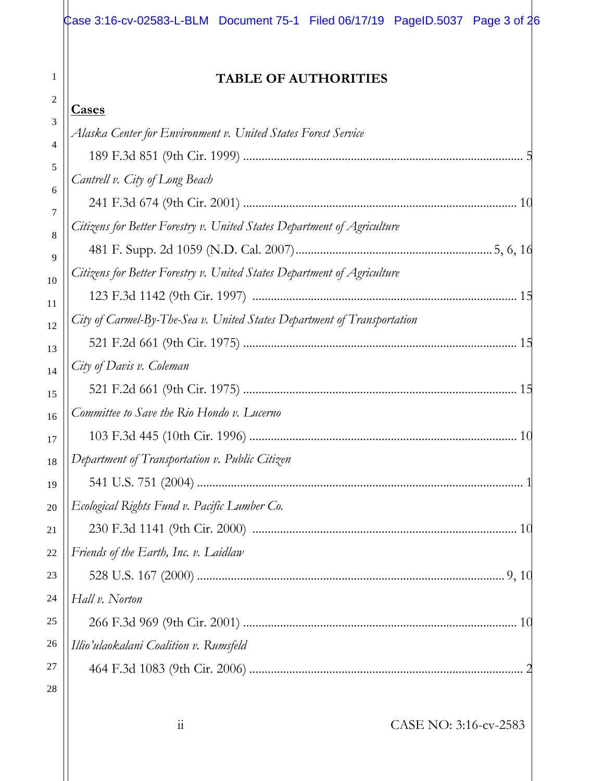| Case 3:16-cv-02583-L-BLM Document 75-1 Filed 06/17/19 PageID.5037 Page 3 of 26 |  |  |  |
|--------------------------------------------------------------------------------|--|--|--|
|                                                                                |  |  |  |
|                                                                                |  |  |  |

## **TABLE OF AUTHORITIES**

1

|        | <u>Cases</u>                                                            |
|--------|-------------------------------------------------------------------------|
| 3      | Alaska Center for Environment v. United States Forest Service           |
| 4<br>5 |                                                                         |
| 6      | Cantrell v. City of Long Beach                                          |
| 7      |                                                                         |
| 8      | Citizens for Better Forestry v. United States Department of Agriculture |
| 9      |                                                                         |
| 10     | Citizens for Better Forestry v. United States Department of Agriculture |
| 11     |                                                                         |
| 12     | City of Carmel-By-The-Sea v. United States Department of Transportation |
| 13     |                                                                         |
| 14     | City of Davis v. Coleman                                                |
| 15     |                                                                         |
| 16     | Committee to Save the Rio Hondo v. Lucerno                              |
| 17     |                                                                         |
| 18     | Department of Transportation v. Public Citizen                          |
| 19     |                                                                         |
| 20     | Ecological Rights Fund v. Pacific Lumber Co.                            |
| 21     | 10                                                                      |
| 22     | Friends of the Earth, Inc. v. Laidlaw                                   |
| 23     |                                                                         |
| 24     | Hall v. Norton                                                          |
| 25     |                                                                         |
| 26     | Illio'ulaokalani Coalition v. Rumsfeld                                  |
| 27     |                                                                         |
| 28     |                                                                         |
|        | $\ddot{i}$<br>CASE NO: 3:16-cv-2583                                     |
|        |                                                                         |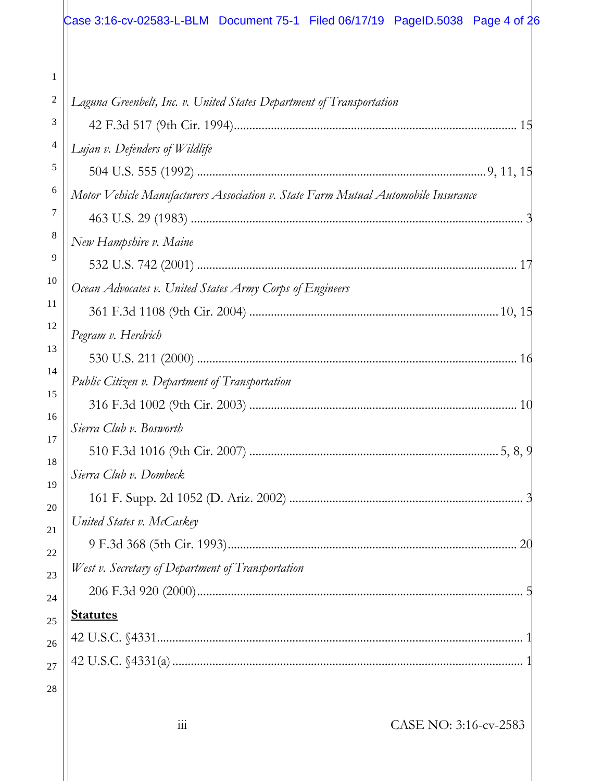|                | Case 3:16-cv-02583-L-BLM Document 75-1 Filed 06/17/19 PageID.5038 Page 4 of 26    |
|----------------|-----------------------------------------------------------------------------------|
|                |                                                                                   |
| 1              |                                                                                   |
| $\overline{c}$ | Laguna Greenbelt, Inc. v. United States Department of Transportation              |
| 3              |                                                                                   |
| 4              | Lujan v. Defenders of Wildlife                                                    |
| 5              |                                                                                   |
| 6              | Motor Vehicle Manufacturers Association v. State Farm Mutual Automobile Insurance |
| 7              |                                                                                   |
| 8              | New Hampshire v. Maine                                                            |
| 9              |                                                                                   |
| 10             | Ocean Advocates v. United States Army Corps of Engineers                          |
| 11             |                                                                                   |
| 12             | Pegram v. Herdrich                                                                |
| 13             |                                                                                   |
| 14             | Public Citizen v. Department of Transportation                                    |
| 15             |                                                                                   |
| 16             | Sierra Club v. Bosworth                                                           |
| 17             |                                                                                   |
| 18             | Sierra Club v. Dombeck                                                            |
| 19<br>20       |                                                                                   |
| 21             | United States v. McCaskey                                                         |
| 22             |                                                                                   |
| 23             | West v. Secretary of Department of Transportation                                 |
| 24             |                                                                                   |
| 25             | <b>Statutes</b>                                                                   |
| 26             |                                                                                   |
| 27             |                                                                                   |
| 28             |                                                                                   |
|                |                                                                                   |
|                | CASE NO: 3:16-cv-2583<br>111                                                      |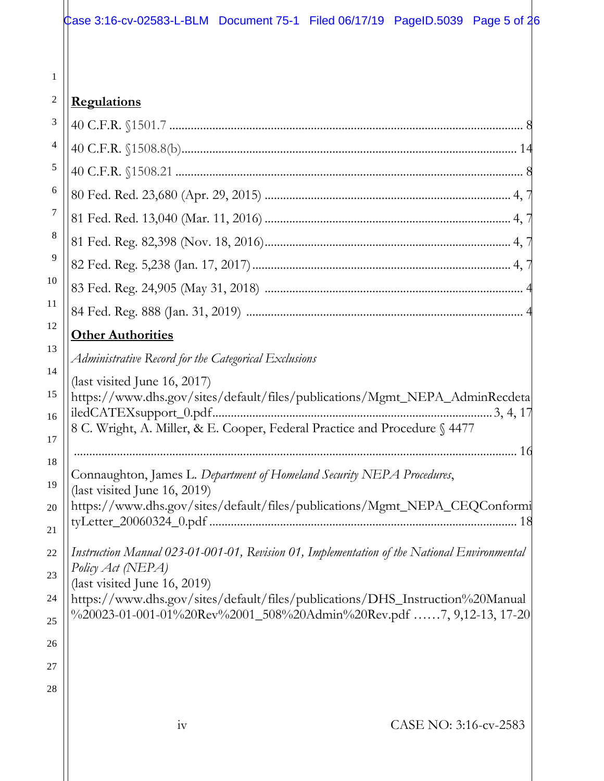| <i><b>Regulations</b></i> |
|---------------------------|
|                           |

|          | <u>1106 marrollo</u>                                                                                                                                 |
|----------|------------------------------------------------------------------------------------------------------------------------------------------------------|
| 3        |                                                                                                                                                      |
| 4        |                                                                                                                                                      |
| 5        |                                                                                                                                                      |
| 6        |                                                                                                                                                      |
| 7        |                                                                                                                                                      |
| 8        |                                                                                                                                                      |
| 9        |                                                                                                                                                      |
| 10       |                                                                                                                                                      |
| 11       |                                                                                                                                                      |
| 12       | <b>Other Authorities</b>                                                                                                                             |
| 13       | Administrative Record for the Categorical Exclusions                                                                                                 |
| 14       | (last visited June 16, 2017)                                                                                                                         |
| 15       | https://www.dhs.gov/sites/default/files/publications/Mgmt_NEPA_AdminRecdeta                                                                          |
| 16       | 8 C. Wright, A. Miller, & E. Cooper, Federal Practice and Procedure § 4477                                                                           |
| 17       |                                                                                                                                                      |
| 18       | Connaughton, James L. Department of Homeland Security NEPA Procedures,                                                                               |
| 19       | (last visited June 16, 2019)<br>https://www.dhs.gov/sites/default/files/publications/Mgmt_NEPA_CEQConformi                                           |
| $20\,$   | -18                                                                                                                                                  |
| 21<br>22 | Instruction Manual 023-01-001-01, Revision 01, Implementation of the National Environmental                                                          |
| 23       | Policy Act (NEPA)                                                                                                                                    |
| 24       | (last visited June 16, 2019)                                                                                                                         |
| 25       | https://www.dhs.gov/sites/default/files/publications/DHS_Instruction%20Manual<br>%20023-01-001-01%20Rev%2001_508%20Admin%20Rev.pdf 7, 9,12-13, 17-20 |
| 26       |                                                                                                                                                      |
| 27       |                                                                                                                                                      |
| 28       |                                                                                                                                                      |
|          |                                                                                                                                                      |
|          | iv<br>CASE NO: 3:16-cv-2583                                                                                                                          |
|          |                                                                                                                                                      |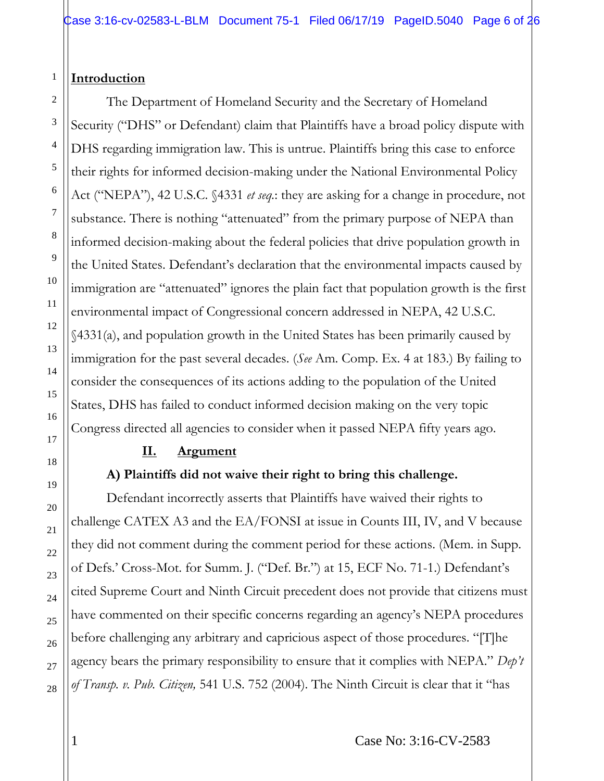#### 1 **Introduction**

2

3

The Department of Homeland Security and the Secretary of Homeland Security ("DHS" or Defendant) claim that Plaintiffs have a broad policy dispute with DHS regarding immigration law. This is untrue. Plaintiffs bring this case to enforce their rights for informed decision-making under the National Environmental Policy Act ("NEPA"), 42 U.S.C. §4331 *et seq.*: they are asking for a change in procedure, not substance. There is nothing "attenuated" from the primary purpose of NEPA than informed decision-making about the federal policies that drive population growth in the United States. Defendant's declaration that the environmental impacts caused by immigration are "attenuated" ignores the plain fact that population growth is the first environmental impact of Congressional concern addressed in NEPA, 42 U.S.C. §4331(a), and population growth in the United States has been primarily caused by immigration for the past several decades. (*See* Am. Comp. Ex. 4 at 183.) By failing to consider the consequences of its actions adding to the population of the United States, DHS has failed to conduct informed decision making on the very topic Congress directed all agencies to consider when it passed NEPA fifty years ago.

### **II. Argument**

## **A) Plaintiffs did not waive their right to bring this challenge.**

Defendant incorrectly asserts that Plaintiffs have waived their rights to challenge CATEX A3 and the EA/FONSI at issue in Counts III, IV, and V because they did not comment during the comment period for these actions. (Mem. in Supp. of Defs.' Cross-Mot. for Summ. J. ("Def. Br.") at 15, ECF No. 71-1.) Defendant's cited Supreme Court and Ninth Circuit precedent does not provide that citizens must have commented on their specific concerns regarding an agency's NEPA procedures before challenging any arbitrary and capricious aspect of those procedures. "[T]he agency bears the primary responsibility to ensure that it complies with NEPA." *Dep't of Transp. v. Pub. Citizen,* 541 U.S. 752 (2004). The Ninth Circuit is clear that it "has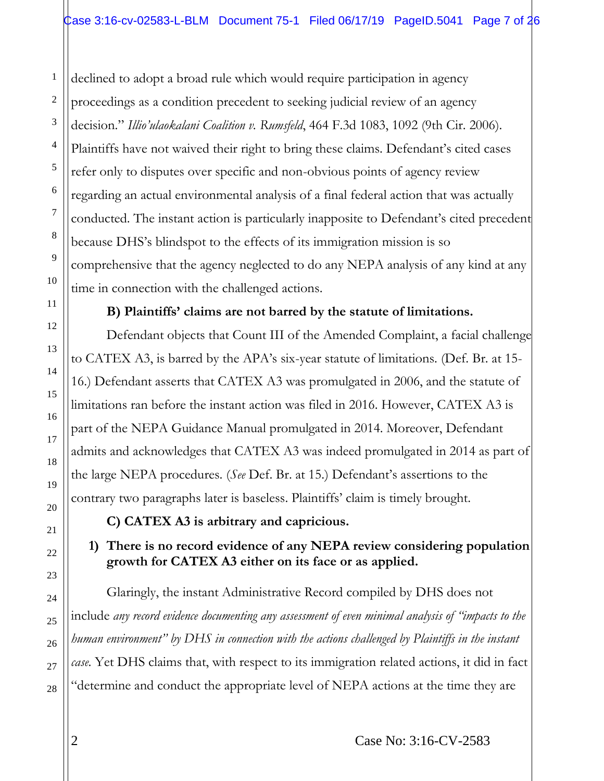declined to adopt a broad rule which would require participation in agency proceedings as a condition precedent to seeking judicial review of an agency decision." *Illio'ulaokalani Coalition v. Rumsfeld*, 464 F.3d 1083, 1092 (9th Cir. 2006). Plaintiffs have not waived their right to bring these claims. Defendant's cited cases refer only to disputes over specific and non-obvious points of agency review regarding an actual environmental analysis of a final federal action that was actually conducted. The instant action is particularly inapposite to Defendant's cited precedent because DHS's blindspot to the effects of its immigration mission is so comprehensive that the agency neglected to do any NEPA analysis of any kind at any time in connection with the challenged actions.

#### **B) Plaintiffs' claims are not barred by the statute of limitations.**

Defendant objects that Count III of the Amended Complaint, a facial challenge to CATEX A3, is barred by the APA's six-year statute of limitations. (Def. Br. at 15- 16.) Defendant asserts that CATEX A3 was promulgated in 2006, and the statute of limitations ran before the instant action was filed in 2016. However, CATEX A3 is part of the NEPA Guidance Manual promulgated in 2014. Moreover, Defendant admits and acknowledges that CATEX A3 was indeed promulgated in 2014 as part of the large NEPA procedures. (*See* Def. Br. at 15.) Defendant's assertions to the contrary two paragraphs later is baseless. Plaintiffs' claim is timely brought.

**C) CATEX A3 is arbitrary and capricious.** 

## **1) There is no record evidence of any NEPA review considering population growth for CATEX A3 either on its face or as applied.**

Glaringly, the instant Administrative Record compiled by DHS does not include *any record evidence documenting any assessment of even minimal analysis of "impacts to the human environment" by DHS in connection with the actions challenged by Plaintiffs in the instant case.* Yet DHS claims that, with respect to its immigration related actions, it did in fact "determine and conduct the appropriate level of NEPA actions at the time they are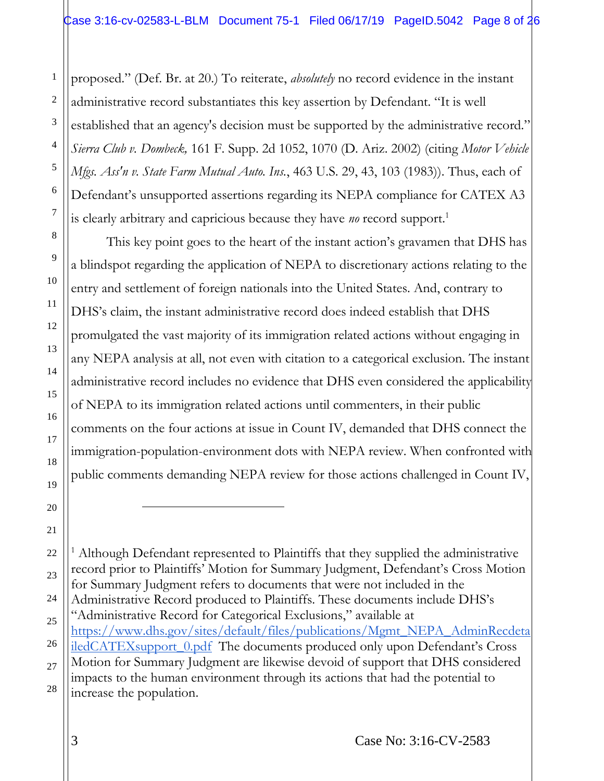2 4 6 proposed." (Def. Br. at 20.) To reiterate, *absolutely* no record evidence in the instant administrative record substantiates this key assertion by Defendant. "It is well established that an agency's decision must be supported by the administrative record." *Sierra Club v. Dombeck,* 161 F. Supp. 2d 1052, 1070 (D. Ariz. 2002) (citing *Motor Vehicle Mfgs. Ass'n v. State Farm Mutual Auto. Ins.*, 463 U.S. 29, 43, 103 (1983)). Thus, each of Defendant's unsupported assertions regarding its NEPA compliance for CATEX A3 is clearly arbitrary and capricious because they have *no* record support.<sup>1</sup>

This key point goes to the heart of the instant action's gravamen that DHS has a blindspot regarding the application of NEPA to discretionary actions relating to the entry and settlement of foreign nationals into the United States. And, contrary to DHS's claim, the instant administrative record does indeed establish that DHS promulgated the vast majority of its immigration related actions without engaging in any NEPA analysis at all, not even with citation to a categorical exclusion. The instant administrative record includes no evidence that DHS even considered the applicability of NEPA to its immigration related actions until commenters, in their public comments on the four actions at issue in Count IV, demanded that DHS connect the immigration-population-environment dots with NEPA review. When confronted with public comments demanding NEPA review for those actions challenged in Count IV,

<sup>1</sup> Although Defendant represented to Plaintiffs that they supplied the administrative record prior to Plaintiffs' Motion for Summary Judgment, Defendant's Cross Motion for Summary Judgment refers to documents that were not included in the Administrative Record produced to Plaintiffs. These documents include DHS's "Administrative Record for Categorical Exclusions," available at [https://www.dhs.gov/sites/default/files/publications/Mgmt\\_NEPA\\_AdminRecdeta](https://www.dhs.gov/sites/default/files/publications/Mgmt_NEPA_AdminRecdetailedCATEXsupport_0.pdf) iledCATEXsupport 0.pdf The documents produced only upon Defendant's Cross

27 28 Motion for Summary Judgment are likewise devoid of support that DHS considered impacts to the human environment through its actions that had the potential to increase the population.

1

3

5

7

8

9

10

11

12

13

14

15

16

17

18

19

20

 $\overline{a}$ 

21

22

23

24

25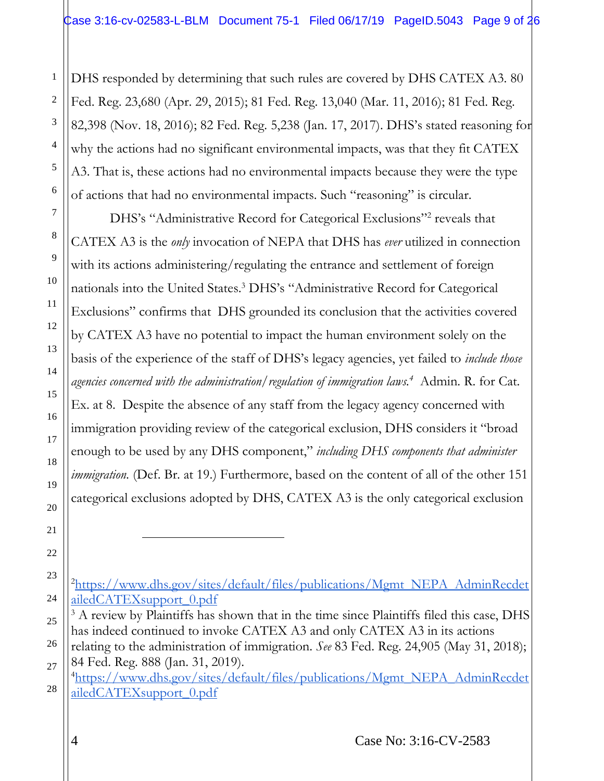DHS responded by determining that such rules are covered by DHS CATEX A3. 80 Fed. Reg. 23,680 (Apr. 29, 2015); 81 Fed. Reg. 13,040 (Mar. 11, 2016); 81 Fed. Reg. 82,398 (Nov. 18, 2016); 82 Fed. Reg. 5,238 (Jan. 17, 2017). DHS's stated reasoning for why the actions had no significant environmental impacts, was that they fit CATEX A3. That is, these actions had no environmental impacts because they were the type of actions that had no environmental impacts. Such "reasoning" is circular.

DHS's "Administrative Record for Categorical Exclusions"<sup>2</sup> reveals that CATEX A3 is the *only* invocation of NEPA that DHS has *ever* utilized in connection with its actions administering/regulating the entrance and settlement of foreign nationals into the United States.<sup>3</sup> DHS's "Administrative Record for Categorical Exclusions" confirms that DHS grounded its conclusion that the activities covered by CATEX A3 have no potential to impact the human environment solely on the basis of the experience of the staff of DHS's legacy agencies, yet failed to *include those agencies concerned with the administration/regulation of immigration laws.<sup>4</sup>* Admin. R. for Cat. Ex. at 8. Despite the absence of any staff from the legacy agency concerned with immigration providing review of the categorical exclusion, DHS considers it "broad enough to be used by any DHS component," *including DHS components that administer immigration.* (Def. Br. at 19.) Furthermore, based on the content of all of the other 151 categorical exclusions adopted by DHS, CATEX A3 is the only categorical exclusion

1

2

3

4

5

6

7

8

9

10

11

12

13

14

15

16

17

18

19

20

21

 $\overline{a}$ 

<sup>23</sup> 24 <sup>2</sup>[https://www.dhs.gov/sites/default/files/publications/Mgmt\\_NEPA\\_AdminRecdet](https://www.dhs.gov/sites/default/files/publications/Mgmt_NEPA_AdminRecdetailedCATEXsupport_0.pdf) [ailedCATEXsupport\\_0.pdf](https://www.dhs.gov/sites/default/files/publications/Mgmt_NEPA_AdminRecdetailedCATEXsupport_0.pdf)

<sup>25</sup> <sup>3</sup> A review by Plaintiffs has shown that in the time since Plaintiffs filed this case, DHS has indeed continued to invoke CATEX A3 and only CATEX A3 in its actions

<sup>26</sup> 27 relating to the administration of immigration. *See* 83 Fed. Reg. 24,905 (May 31, 2018); 84 Fed. Reg. 888 (Jan. 31, 2019).

<sup>28</sup> <sup>4</sup>[https://www.dhs.gov/sites/default/files/publications/Mgmt\\_NEPA\\_AdminRecdet](https://www.dhs.gov/sites/default/files/publications/Mgmt_NEPA_AdminRecdetailedCATEXsupport_0.pdf) [ailedCATEXsupport\\_0.pdf](https://www.dhs.gov/sites/default/files/publications/Mgmt_NEPA_AdminRecdetailedCATEXsupport_0.pdf)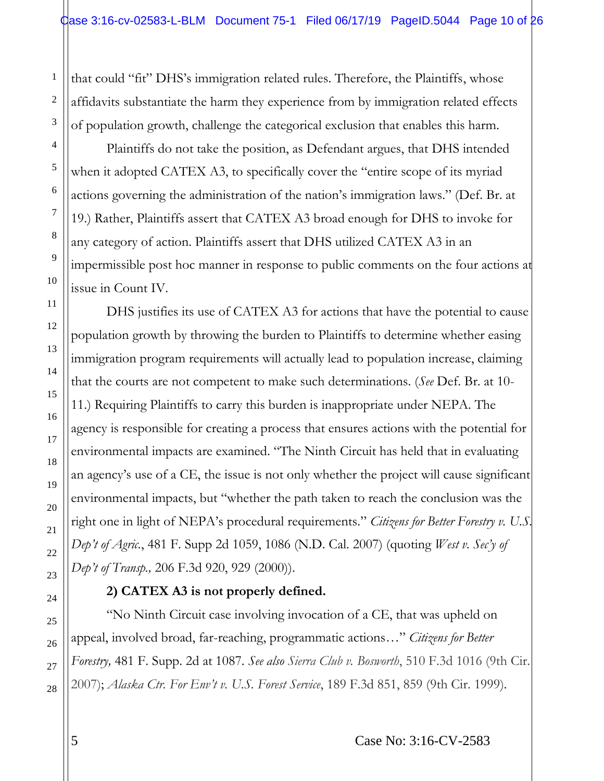that could "fit" DHS's immigration related rules. Therefore, the Plaintiffs, whose affidavits substantiate the harm they experience from by immigration related effects of population growth, challenge the categorical exclusion that enables this harm.

Plaintiffs do not take the position, as Defendant argues, that DHS intended when it adopted CATEX A3, to specifically cover the "entire scope of its myriad actions governing the administration of the nation's immigration laws." (Def. Br. at 19.) Rather, Plaintiffs assert that CATEX A3 broad enough for DHS to invoke for any category of action. Plaintiffs assert that DHS utilized CATEX A3 in an impermissible post hoc manner in response to public comments on the four actions at issue in Count IV.

DHS justifies its use of CATEX A3 for actions that have the potential to cause population growth by throwing the burden to Plaintiffs to determine whether easing immigration program requirements will actually lead to population increase, claiming that the courts are not competent to make such determinations. (*See* Def. Br. at 10- 11.) Requiring Plaintiffs to carry this burden is inappropriate under NEPA. The agency is responsible for creating a process that ensures actions with the potential for environmental impacts are examined. "The Ninth Circuit has held that in evaluating an agency's use of a CE, the issue is not only whether the project will cause significant environmental impacts, but "whether the path taken to reach the conclusion was the right one in light of NEPA's procedural requirements." *Citizens for Better Forestry v. U.S. Dep't of Agric.*, 481 F. Supp 2d 1059, 1086 (N.D. Cal. 2007) (quoting *West v. Sec'y of Dep't of Transp.,* 206 F.3d 920, 929 (2000)).

### **2) CATEX A3 is not properly defined.**

"No Ninth Circuit case involving invocation of a CE, that was upheld on appeal, involved broad, far-reaching, programmatic actions…" *Citizens for Better Forestry,* 481 F. Supp. 2d at 1087. *See also Sierra Club v. Bosworth*, 510 F.3d 1016 (9th Cir. 2007); *Alaska Ctr. For Env't v. U.S. Forest Service*, 189 F.3d 851, 859 (9th Cir. 1999)*.*

1

2

5 Case No: 3:16-CV-2583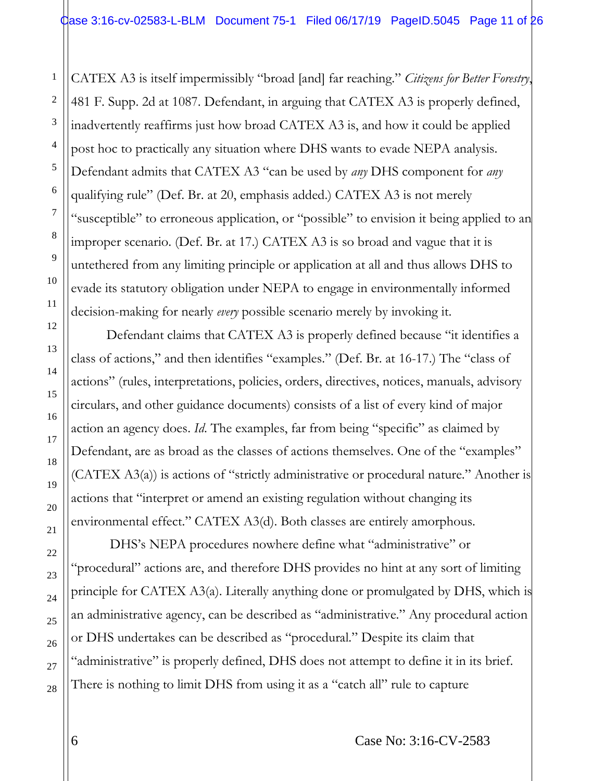CATEX A3 is itself impermissibly "broad [and] far reaching." *Citizens for Better Forestry*, 481 F. Supp. 2d at 1087. Defendant, in arguing that CATEX A3 is properly defined, inadvertently reaffirms just how broad CATEX A3 is, and how it could be applied post hoc to practically any situation where DHS wants to evade NEPA analysis. Defendant admits that CATEX A3 "can be used by *any* DHS component for *any* qualifying rule" (Def. Br. at 20, emphasis added.) CATEX A3 is not merely "susceptible" to erroneous application, or "possible" to envision it being applied to an improper scenario. (Def. Br. at 17.) CATEX A3 is so broad and vague that it is untethered from any limiting principle or application at all and thus allows DHS to evade its statutory obligation under NEPA to engage in environmentally informed decision-making for nearly *every* possible scenario merely by invoking it.

Defendant claims that CATEX A3 is properly defined because "it identifies a class of actions," and then identifies "examples." (Def. Br. at 16-17.) The "class of actions" (rules, interpretations, policies, orders, directives, notices, manuals, advisory circulars, and other guidance documents) consists of a list of every kind of major action an agency does. *Id*. The examples, far from being "specific" as claimed by Defendant, are as broad as the classes of actions themselves. One of the "examples" (CATEX A3(a)) is actions of "strictly administrative or procedural nature." Another is actions that "interpret or amend an existing regulation without changing its environmental effect." CATEX A3(d). Both classes are entirely amorphous.

DHS's NEPA procedures nowhere define what "administrative" or "procedural" actions are, and therefore DHS provides no hint at any sort of limiting principle for CATEX A3(a). Literally anything done or promulgated by DHS, which is an administrative agency, can be described as "administrative." Any procedural action or DHS undertakes can be described as "procedural." Despite its claim that "administrative" is properly defined, DHS does not attempt to define it in its brief. There is nothing to limit DHS from using it as a "catch all" rule to capture

1

2

3

4

5

6

7

8

9

10

11

12

13

14

15

16

17

18

19

20

21

22

23

24

25

26

27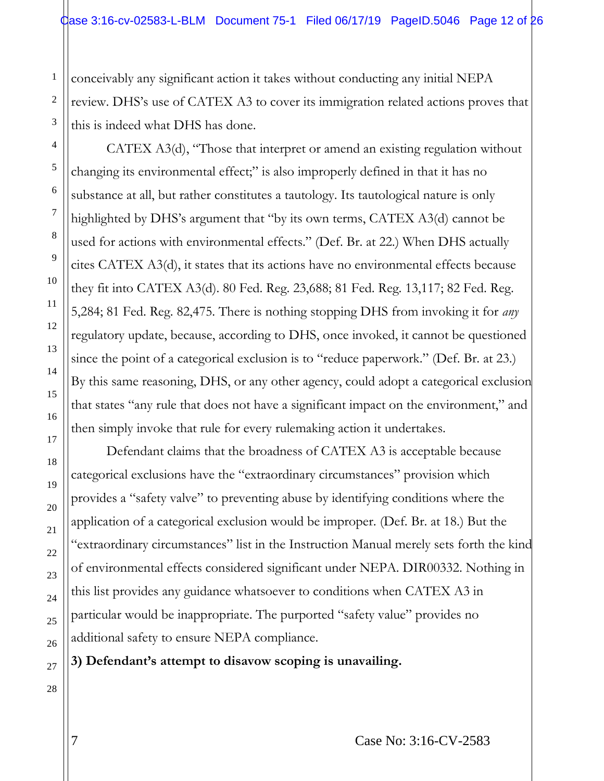conceivably any significant action it takes without conducting any initial NEPA review. DHS's use of CATEX A3 to cover its immigration related actions proves that this is indeed what DHS has done.

CATEX A3(d), "Those that interpret or amend an existing regulation without changing its environmental effect;" is also improperly defined in that it has no substance at all, but rather constitutes a tautology. Its tautological nature is only highlighted by DHS's argument that "by its own terms, CATEX A3(d) cannot be used for actions with environmental effects." (Def. Br. at 22.) When DHS actually cites CATEX A3(d), it states that its actions have no environmental effects because they fit into CATEX A3(d). 80 Fed. Reg. 23,688; 81 Fed. Reg. 13,117; 82 Fed. Reg. 5,284; 81 Fed. Reg. 82,475. There is nothing stopping DHS from invoking it for *any* regulatory update, because, according to DHS, once invoked, it cannot be questioned since the point of a categorical exclusion is to "reduce paperwork." (Def. Br. at 23.) By this same reasoning, DHS, or any other agency, could adopt a categorical exclusion that states "any rule that does not have a significant impact on the environment," and then simply invoke that rule for every rulemaking action it undertakes.

Defendant claims that the broadness of CATEX A3 is acceptable because categorical exclusions have the "extraordinary circumstances" provision which provides a "safety valve" to preventing abuse by identifying conditions where the application of a categorical exclusion would be improper. (Def. Br. at 18.) But the "extraordinary circumstances" list in the Instruction Manual merely sets forth the kind of environmental effects considered significant under NEPA. DIR00332. Nothing in this list provides any guidance whatsoever to conditions when CATEX A3 in particular would be inappropriate. The purported "safety value" provides no additional safety to ensure NEPA compliance.

**3) Defendant's attempt to disavow scoping is unavailing.**

1

2

3

4

5

6

7

8

9

10

11

12

13

14

15

16

17

18

19

20

21

22

23

24

28

7 Case No: 3:16-CV-2583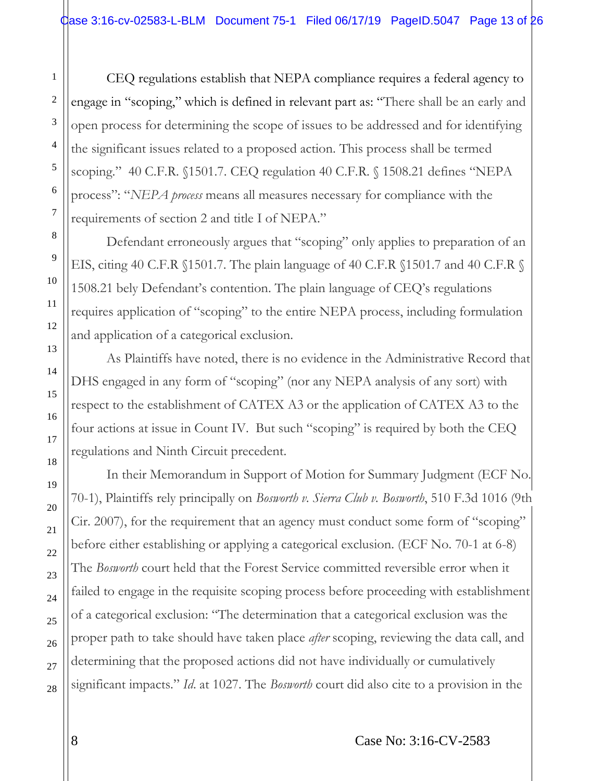CEQ regulations establish that NEPA compliance requires a federal agency to engage in "scoping," which is defined in relevant part as: "There shall be an early and open process for determining the scope of issues to be addressed and for identifying the significant issues related to a proposed action. This process shall be termed scoping." 40 C.F.R. §1501.7. CEQ regulation 40 C.F.R. § 1508.21 defines "NEPA process": "*NEPA process* means all measures necessary for compliance with the requirements of section 2 and title I of NEPA."

Defendant erroneously argues that "scoping" only applies to preparation of an EIS, citing 40 C.F.R §1501.7. The plain language of 40 C.F.R §1501.7 and 40 C.F.R § 1508.21 bely Defendant's contention. The plain language of CEQ's regulations requires application of "scoping" to the entire NEPA process, including formulation and application of a categorical exclusion.

As Plaintiffs have noted, there is no evidence in the Administrative Record that DHS engaged in any form of "scoping" (nor any NEPA analysis of any sort) with respect to the establishment of CATEX A3 or the application of CATEX A3 to the four actions at issue in Count IV. But such "scoping" is required by both the CEQ regulations and Ninth Circuit precedent.

In their Memorandum in Support of Motion for Summary Judgment (ECF No. 70-1), Plaintiffs rely principally on *Bosworth v. Sierra Club v. Bosworth*, 510 F.3d 1016 (9th Cir. 2007), for the requirement that an agency must conduct some form of "scoping" before either establishing or applying a categorical exclusion. (ECF No. 70-1 at 6-8) The *Bosworth* court held that the Forest Service committed reversible error when it failed to engage in the requisite scoping process before proceeding with establishment of a categorical exclusion: "The determination that a categorical exclusion was the proper path to take should have taken place *after* scoping, reviewing the data call, and determining that the proposed actions did not have individually or cumulatively significant impacts." *Id*. at 1027. The *Bosworth* court did also cite to a provision in the

1

2

3

4

5

6

7

8

9

10

11

12

13

14

15

16

17

18

19

20

21

22

23

24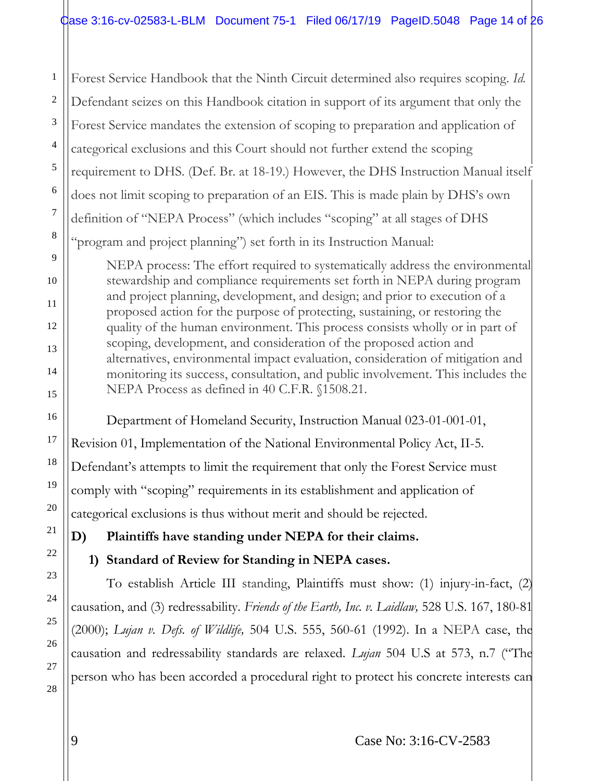1 Forest Service Handbook that the Ninth Circuit determined also requires scoping. *Id.* Defendant seizes on this Handbook citation in support of its argument that only the Forest Service mandates the extension of scoping to preparation and application of categorical exclusions and this Court should not further extend the scoping requirement to DHS. (Def. Br. at 18-19.) However, the DHS Instruction Manual itself does not limit scoping to preparation of an EIS. This is made plain by DHS's own definition of "NEPA Process" (which includes "scoping" at all stages of DHS "program and project planning") set forth in its Instruction Manual:

NEPA process: The effort required to systematically address the environmental stewardship and compliance requirements set forth in NEPA during program and project planning, development, and design; and prior to execution of a proposed action for the purpose of protecting, sustaining, or restoring the quality of the human environment. This process consists wholly or in part of scoping, development, and consideration of the proposed action and alternatives, environmental impact evaluation, consideration of mitigation and monitoring its success, consultation, and public involvement. This includes the NEPA Process as defined in 40 C.F.R. §1508.21.

Department of Homeland Security, Instruction Manual 023-01-001-01, Revision 01, Implementation of the National Environmental Policy Act, II-5. Defendant's attempts to limit the requirement that only the Forest Service must comply with "scoping" requirements in its establishment and application of categorical exclusions is thus without merit and should be rejected.

**D) Plaintiffs have standing under NEPA for their claims.**

## **1) Standard of Review for Standing in NEPA cases.**

To establish Article III standing, Plaintiffs must show: (1) injury-in-fact, (2) causation, and (3) redressability. *Friends of the Earth, Inc. v. Laidlaw,* 528 U.S. 167, 180-81 (2000); *Lujan v. Defs. of Wildlife,* 504 U.S. 555, 560-61 (1992). In a NEPA case, the causation and redressability standards are relaxed. *Lujan* 504 U.S at 573, n.7 ("The person who has been accorded a procedural right to protect his concrete interests can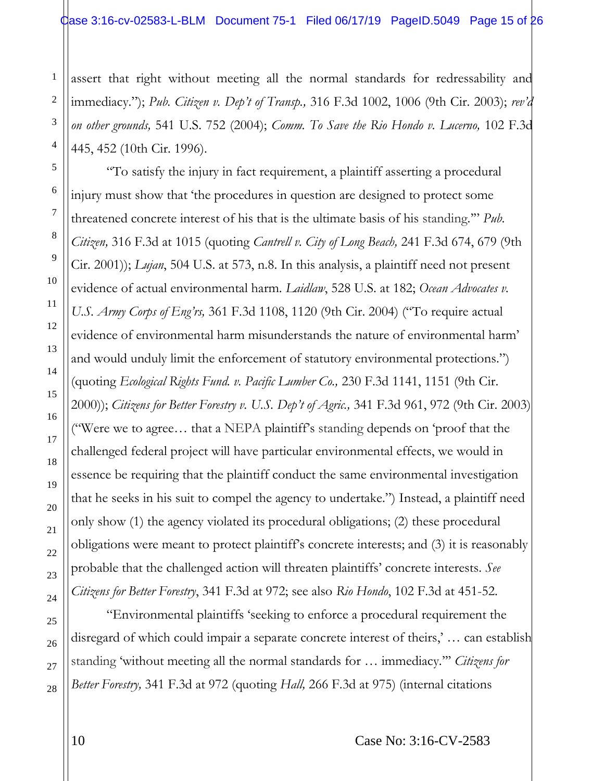assert that right without meeting all the normal standards for redressability and immediacy."); *Pub. Citizen v. Dep't of Transp.,* 316 F.3d 1002, 1006 (9th Cir. 2003); *rev'd on other grounds,* 541 U.S. 752 (2004); *Comm. To Save the Rio Hondo v. Lucerno,* 102 F.3d 445, 452 (10th Cir. 1996).

"To satisfy the injury in fact requirement, a plaintiff asserting a procedural injury must show that 'the procedures in question are designed to protect some threatened concrete interest of his that is the ultimate basis of his standing.'" *Pub. Citizen,* 316 F.3d at 1015 (quoting *Cantrell v. City of Long Beach,* 241 F.3d 674, 679 (9th Cir. 2001)); *Lujan*, 504 U.S. at 573, n.8. In this analysis, a plaintiff need not present evidence of actual environmental harm. *Laidlaw*, 528 U.S. at 182; *Ocean Advocates v. U.S. Army Corps of Eng'rs,* 361 F.3d 1108, 1120 (9th Cir. 2004) ("To require actual evidence of environmental harm misunderstands the nature of environmental harm' and would unduly limit the enforcement of statutory environmental protections.") (quoting *Ecological Rights Fund. v. Pacific Lumber Co.,* 230 F.3d 1141, 1151 (9th Cir. 2000)); *Citizens for Better Forestry v. U.S. Dep't of Agric.,* 341 F.3d 961, 972 (9th Cir. 2003) ("Were we to agree… that a NEPA plaintiff's standing depends on 'proof that the challenged federal project will have particular environmental effects, we would in essence be requiring that the plaintiff conduct the same environmental investigation that he seeks in his suit to compel the agency to undertake.") Instead, a plaintiff need only show (1) the agency violated its procedural obligations; (2) these procedural obligations were meant to protect plaintiff's concrete interests; and (3) it is reasonably probable that the challenged action will threaten plaintiffs' concrete interests. *See Citizens for Better Forestry*, 341 F.3d at 972; see also *[R](http://www.westlaw.com/Link/Document/FullText?findType=Y&serNum=1996269864&pubNum=506&originatingDoc=I3bd840403eba11ddb6a3a099756c05b7&refType=RP&fi=co_pp_sp_506_451&originationContext=document&vr=3.0&rs=cblt1.0&transitionType=DocumentItem&contextData=(sc.Search)#co_pp_sp_506_451)io Hondo*, 102 F.3d at 451-52.

"Environmental plaintiffs 'seeking to enforce a procedural requirement the disregard of which could impair a separate concrete interest of theirs,' … can establish standing 'without meeting all the normal standards for … immediacy.''' *Citizens for Better Forestry,* 341 F.3d at 972 (quoting *Hall,* 266 F.3d at 975) (internal citations

1

2

3

4

5

6

7

8

9

10

11

12

13

14

15

16

17

18

19

20

21

22

23

24

25

26

27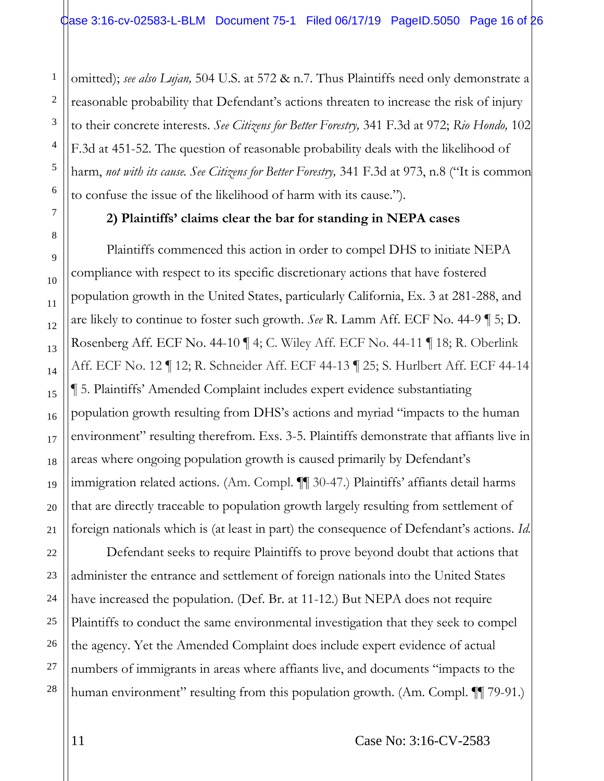omitted); *see also Lujan,* 504 U.S. at 572 & n.7. Thus Plaintiffs need only demonstrate a reasonable probability that Defendant's actions threaten to increase the risk of injury to their concrete interests. *See Citizens for Better Forestry,* 341 F.3d at 972; *Rio Hondo,* 102 F.3d at 451-52. The question of reasonable probability deals with the likelihood of harm, *not with its cause. See Citizens for Better Forestry,* 341 F.3d at 973, n.8 ("It is common to confuse the issue of the likelihood of harm with its cause.").

#### **2) Plaintiffs' claims clear the bar for standing in NEPA cases**

Plaintiffs commenced this action in order to compel DHS to initiate NEPA compliance with respect to its specific discretionary actions that have fostered population growth in the United States, particularly California, Ex. 3 at 281-288, and are likely to continue to foster such growth. *See* R. Lamm Aff. ECF No. 44-9 ¶ 5; D. Rosenberg Aff. ECF No. 44-10 ¶ 4; C. Wiley Aff. ECF No. 44-11 ¶ 18; R. Oberlink Aff. ECF No. 12 ¶ 12; R. Schneider Aff. ECF 44-13 ¶ 25; S. Hurlbert Aff. ECF 44-14 ¶ 5. Plaintiffs' Amended Complaint includes expert evidence substantiating population growth resulting from DHS's actions and myriad "impacts to the human environment" resulting therefrom. Exs. 3-5. Plaintiffs demonstrate that affiants live in areas where ongoing population growth is caused primarily by Defendant's immigration related actions. (Am. Compl. ¶¶ 30-47.) Plaintiffs' affiants detail harms that are directly traceable to population growth largely resulting from settlement of foreign nationals which is (at least in part) the consequence of Defendant's actions. *Id.*

Defendant seeks to require Plaintiffs to prove beyond doubt that actions that administer the entrance and settlement of foreign nationals into the United States have increased the population. (Def. Br. at 11-12.) But NEPA does not require Plaintiffs to conduct the same environmental investigation that they seek to compel the agency. Yet the Amended Complaint does include expert evidence of actual numbers of immigrants in areas where affiants live, and documents "impacts to the human environment" resulting from this population growth. (Am. Compl. ¶ 79-91.)

1

11 Case No: 3:16-CV-2583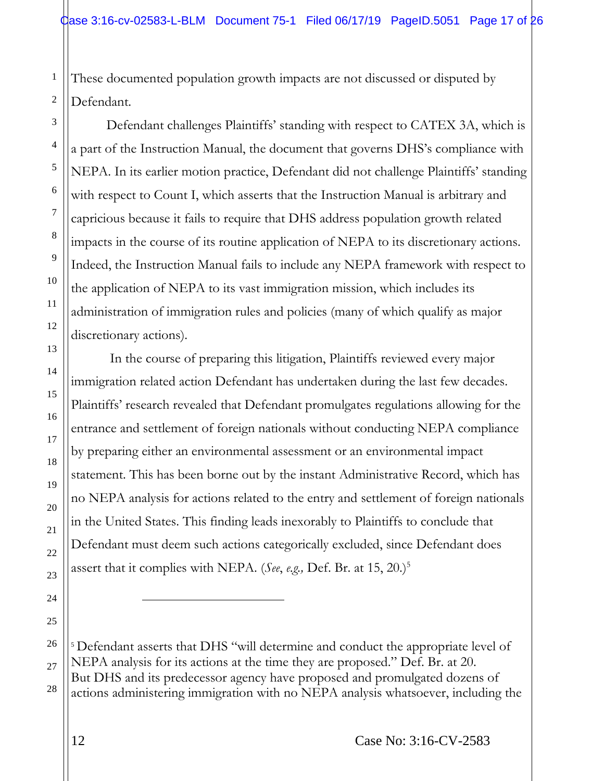These documented population growth impacts are not discussed or disputed by Defendant.

Defendant challenges Plaintiffs' standing with respect to CATEX 3A, which is a part of the Instruction Manual, the document that governs DHS's compliance with NEPA. In its earlier motion practice, Defendant did not challenge Plaintiffs' standing with respect to Count I, which asserts that the Instruction Manual is arbitrary and capricious because it fails to require that DHS address population growth related impacts in the course of its routine application of NEPA to its discretionary actions. Indeed, the Instruction Manual fails to include any NEPA framework with respect to the application of NEPA to its vast immigration mission, which includes its administration of immigration rules and policies (many of which qualify as major discretionary actions).

In the course of preparing this litigation, Plaintiffs reviewed every major immigration related action Defendant has undertaken during the last few decades. Plaintiffs' research revealed that Defendant promulgates regulations allowing for the entrance and settlement of foreign nationals without conducting NEPA compliance by preparing either an environmental assessment or an environmental impact statement. This has been borne out by the instant Administrative Record, which has no NEPA analysis for actions related to the entry and settlement of foreign nationals in the United States. This finding leads inexorably to Plaintiffs to conclude that Defendant must deem such actions categorically excluded, since Defendant does assert that it complies with NEPA. (*See*, *e.g.,* Def. Br. at 15, 20.)<sup>5</sup>

<sup>5</sup> Defendant asserts that DHS "will determine and conduct the appropriate level of NEPA analysis for its actions at the time they are proposed." Def. Br. at 20. But DHS and its predecessor agency have proposed and promulgated dozens of actions administering immigration with no NEPA analysis whatsoever, including the

1

 $\overline{a}$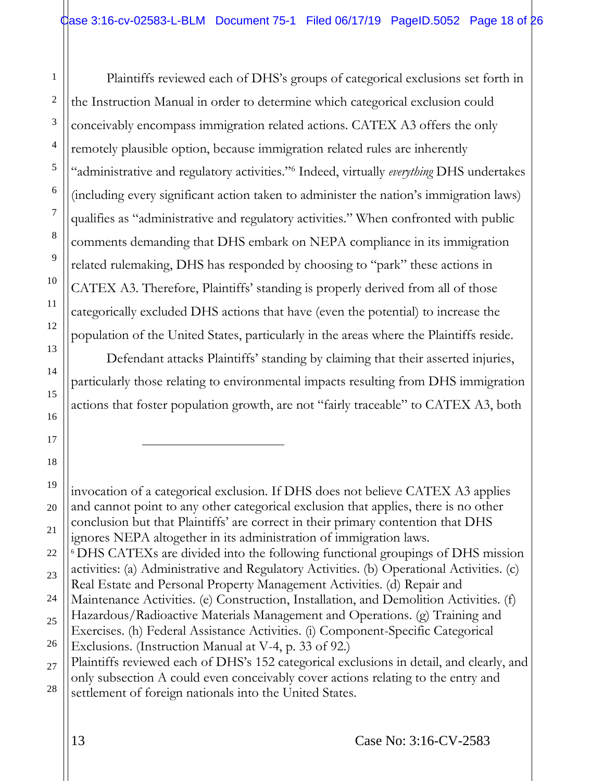Plaintiffs reviewed each of DHS's groups of categorical exclusions set forth in the Instruction Manual in order to determine which categorical exclusion could conceivably encompass immigration related actions. CATEX A3 offers the only remotely plausible option, because immigration related rules are inherently "administrative and regulatory activities."<sup>6</sup> Indeed, virtually *everything* DHS undertakes (including every significant action taken to administer the nation's immigration laws) qualifies as "administrative and regulatory activities." When confronted with public comments demanding that DHS embark on NEPA compliance in its immigration related rulemaking, DHS has responded by choosing to "park" these actions in CATEX A3. Therefore, Plaintiffs' standing is properly derived from all of those categorically excluded DHS actions that have (even the potential) to increase the population of the United States, particularly in the areas where the Plaintiffs reside.

Defendant attacks Plaintiffs' standing by claiming that their asserted injuries, particularly those relating to environmental impacts resulting from DHS immigration actions that foster population growth, are not "fairly traceable" to CATEX A3, both

<sup>6</sup> DHS CATEXs are divided into the following functional groupings of DHS mission activities: (a) Administrative and Regulatory Activities. (b) Operational Activities. (c)

1

2

3

4

5

6

7

8

9

10

11

12

13

14

15

16

 $\overline{a}$ 

invocation of a categorical exclusion. If DHS does not believe CATEX A3 applies and cannot point to any other categorical exclusion that applies, there is no other conclusion but that Plaintiffs' are correct in their primary contention that DHS ignores NEPA altogether in its administration of immigration laws.

Real Estate and Personal Property Management Activities. (d) Repair and

Maintenance Activities. (e) Construction, Installation, and Demolition Activities. (f)

Hazardous/Radioactive Materials Management and Operations. (g) Training and Exercises. (h) Federal Assistance Activities. (i) Component-Specific Categorical

Exclusions. (Instruction Manual at V-4, p. 33 of 92.)

Plaintiffs reviewed each of DHS's 152 categorical exclusions in detail, and clearly, and only subsection A could even conceivably cover actions relating to the entry and settlement of foreign nationals into the United States.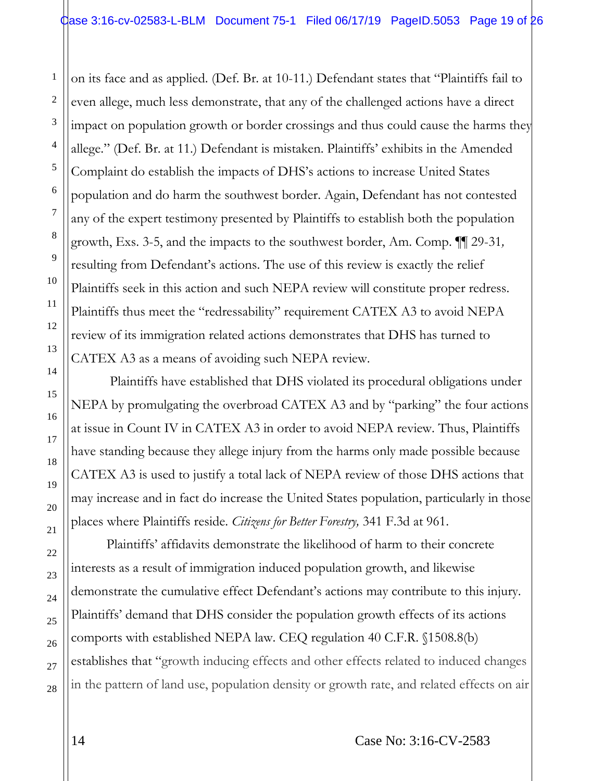on its face and as applied. (Def. Br. at 10-11.) Defendant states that "Plaintiffs fail to even allege, much less demonstrate, that any of the challenged actions have a direct impact on population growth or border crossings and thus could cause the harms they allege." (Def. Br. at 11.) Defendant is mistaken. Plaintiffs' exhibits in the Amended Complaint do establish the impacts of DHS's actions to increase United States population and do harm the southwest border. Again, Defendant has not contested any of the expert testimony presented by Plaintiffs to establish both the population growth, Exs. 3-5, and the impacts to the southwest border, Am. Comp. ¶¶ 29-31*,* resulting from Defendant's actions. The use of this review is exactly the relief Plaintiffs seek in this action and such NEPA review will constitute proper redress. Plaintiffs thus meet the "redressability" requirement CATEX A3 to avoid NEPA review of its immigration related actions demonstrates that DHS has turned to CATEX A3 as a means of avoiding such NEPA review.

Plaintiffs have established that DHS violated its procedural obligations under NEPA by promulgating the overbroad CATEX A3 and by "parking" the four actions at issue in Count IV in CATEX A3 in order to avoid NEPA review. Thus, Plaintiffs have standing because they allege injury from the harms only made possible because CATEX A3 is used to justify a total lack of NEPA review of those DHS actions that may increase and in fact do increase the United States population, particularly in those places where Plaintiffs reside. *Citizens for Better Forestry,* 341 F.3d at 961.

Plaintiffs' affidavits demonstrate the likelihood of harm to their concrete interests as a result of immigration induced population growth, and likewise demonstrate the cumulative effect Defendant's actions may contribute to this injury. Plaintiffs' demand that DHS consider the population growth effects of its actions comports with established NEPA law. CEQ regulation 40 C.F.R. §1508.8(b) establishes that "growth inducing effects and other effects related to induced changes in the pattern of land use, population density or growth rate, and related effects on air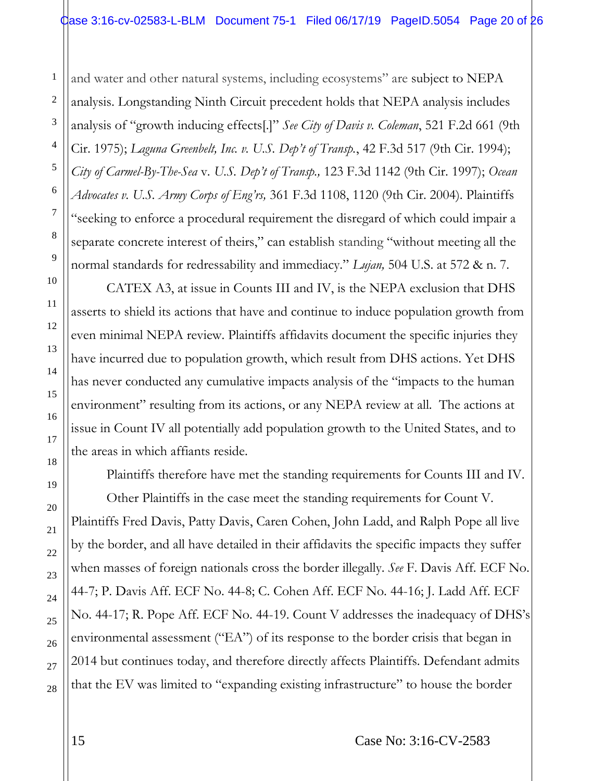and water and other natural systems, including ecosystems" are subject to NEPA analysis. Longstanding Ninth Circuit precedent holds that NEPA analysis includes analysis of "growth inducing effects[.]" *See City of Davis v. Coleman*, 521 F.2d 661 (9th Cir. 1975); *Laguna Greenbelt, Inc. v. U.S. Dep't of Transp.*, 42 F.3d 517 (9th Cir. 1994); *City of Carmel-By-The-Sea* v*. U.S. Dep't of Transp.,* 123 F.3d 1142 (9th Cir. 1997); *Ocean Advocates v. U.S. Army Corps of Eng'rs,* 361 F.3d 1108, 1120 (9th Cir. 2004). Plaintiffs "seeking to enforce a procedural requirement the disregard of which could impair a separate concrete interest of theirs," can establish standing "without meeting all the normal standards for redressability and immediacy." *Lujan,* 504 U.S. at 572 & n. 7.

CATEX A3, at issue in Counts III and IV, is the NEPA exclusion that DHS asserts to shield its actions that have and continue to induce population growth from even minimal NEPA review. Plaintiffs affidavits document the specific injuries they have incurred due to population growth, which result from DHS actions. Yet DHS has never conducted any cumulative impacts analysis of the "impacts to the human environment" resulting from its actions, or any NEPA review at all. The actions at issue in Count IV all potentially add population growth to the United States, and to the areas in which affiants reside.

Plaintiffs therefore have met the standing requirements for Counts III and IV.

Other Plaintiffs in the case meet the standing requirements for Count V. Plaintiffs Fred Davis, Patty Davis, Caren Cohen, John Ladd, and Ralph Pope all live by the border, and all have detailed in their affidavits the specific impacts they suffer when masses of foreign nationals cross the border illegally. *See* F. Davis Aff. ECF No. 44-7; P. Davis Aff. ECF No. 44-8; C. Cohen Aff. ECF No. 44-16; J. Ladd Aff. ECF No. 44-17; R. Pope Aff. ECF No. 44-19. Count V addresses the inadequacy of DHS's environmental assessment ("EA") of its response to the border crisis that began in 2014 but continues today, and therefore directly affects Plaintiffs. Defendant admits that the EV was limited to "expanding existing infrastructure" to house the border

1

2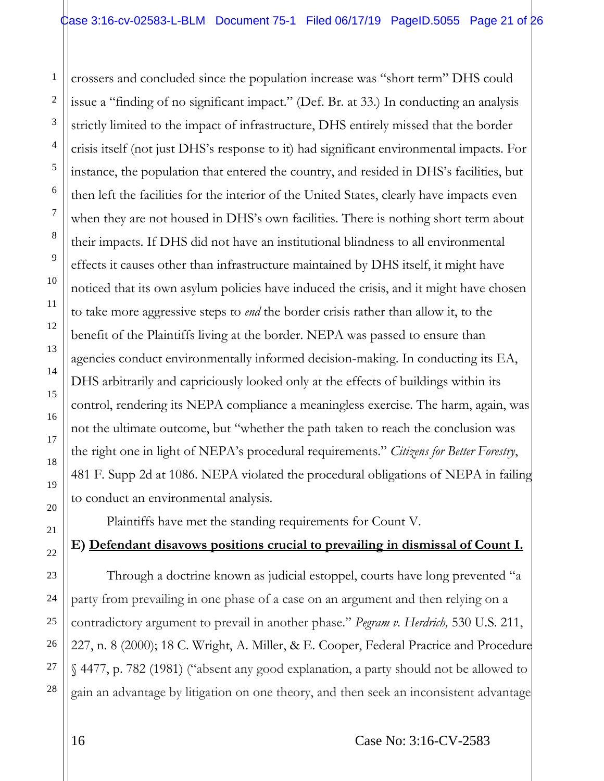crossers and concluded since the population increase was "short term" DHS could issue a "finding of no significant impact." (Def. Br. at 33.) In conducting an analysis strictly limited to the impact of infrastructure, DHS entirely missed that the border crisis itself (not just DHS's response to it) had significant environmental impacts. For instance, the population that entered the country, and resided in DHS's facilities, but then left the facilities for the interior of the United States, clearly have impacts even when they are not housed in DHS's own facilities. There is nothing short term about their impacts. If DHS did not have an institutional blindness to all environmental effects it causes other than infrastructure maintained by DHS itself, it might have noticed that its own asylum policies have induced the crisis, and it might have chosen to take more aggressive steps to *end* the border crisis rather than allow it, to the benefit of the Plaintiffs living at the border. NEPA was passed to ensure than agencies conduct environmentally informed decision-making. In conducting its EA, DHS arbitrarily and capriciously looked only at the effects of buildings within its control, rendering its NEPA compliance a meaningless exercise. The harm, again, was not the ultimate outcome, but "whether the path taken to reach the conclusion was the right one in light of NEPA's procedural requirements." *Citizens for Better Forestry*, 481 F. Supp 2d at 1086. NEPA violated the procedural obligations of NEPA in failing to conduct an environmental analysis.

Plaintiffs have met the standing requirements for Count V.

## **E) Defendant disavows positions crucial to prevailing in dismissal of Count I.**

Through a doctrine known as judicial estoppel, courts have long prevented "a party from prevailing in one phase of a case on an argument and then relying on a contradictory argument to prevail in another phase." *Pegram v. Herdrich,* 530 U.S. 211, 227, n. 8 (2000); 18 C. Wright, A. Miller, & E. Cooper, Federal Practice and Procedure § 4477, p. 782 (1981) ("absent any good explanation, a party should not be allowed to gain an advantage by litigation on one theory, and then seek an inconsistent advantage

16 Case No: 3:16-CV-2583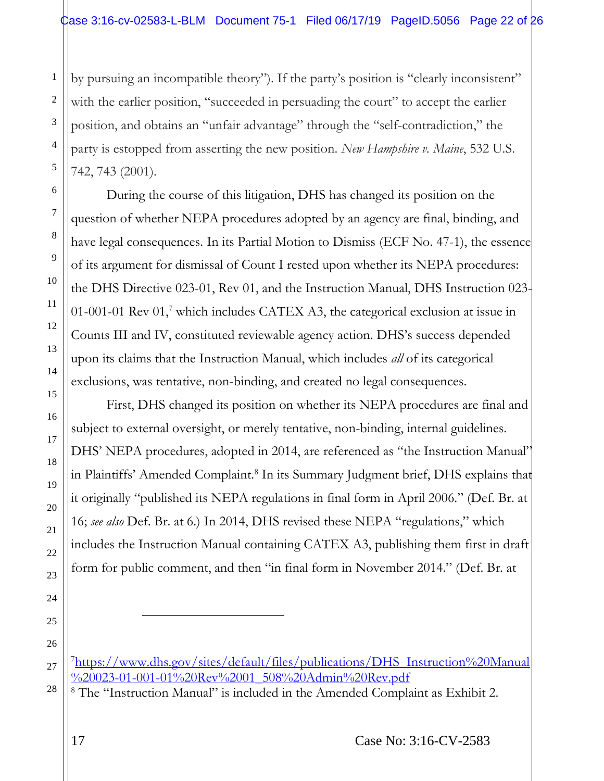by pursuing an incompatible theory"). If the party's position is "clearly inconsistent" with the earlier position, "succeeded in persuading the court" to accept the earlier position, and obtains an "unfair advantage" through the "self-contradiction," the party is estopped from asserting the new position. *New Hampshire v. Maine*, 532 U.S. 742, 743 (2001).

During the course of this litigation, DHS has changed its position on the question of whether NEPA procedures adopted by an agency are final, binding, and have legal consequences. In its Partial Motion to Dismiss (ECF No. 47-1), the essence of its argument for dismissal of Count I rested upon whether its NEPA procedures: the DHS Directive 023-01, Rev 01, and the Instruction Manual, DHS Instruction 023- 01-001-01 Rev  $01$ , which includes CATEX A3, the categorical exclusion at issue in Counts III and IV, constituted reviewable agency action. DHS's success depended upon its claims that the Instruction Manual, which includes *all* of its categorical exclusions, was tentative, non-binding, and created no legal consequences.

First, DHS changed its position on whether its NEPA procedures are final and subject to external oversight, or merely tentative, non-binding, internal guidelines. DHS' NEPA procedures, adopted in 2014, are referenced as "the Instruction Manual" in Plaintiffs' Amended Complaint.<sup>8</sup> In its Summary Judgment brief, DHS explains that it originally "published its NEPA regulations in final form in April 2006." (Def. Br. at 16; *see also* Def. Br. at 6.) In 2014, DHS revised these NEPA "regulations," which includes the Instruction Manual containing CATEX A3, publishing them first in draft form for public comment, and then "in final form in November 2014." (Def. Br. at

1

l

<sup>7</sup>[https://www.dhs.gov/sites/default/files/publications/DHS\\_Instruction%20Manual](https://www.dhs.gov/sites/default/files/publications/DHS_Instruction%20Manual%20023-01-00101%20Rev%2001_508%20Admin%20Rev.pdfhttps:/www.dhs.gov/sites/default/files/publications/DHS_Instruction%20Manual%20023-01-001-01%20Rev%2001_508%20Admin%20Rev.pdf) [%20023-01-001-01%20Rev%2001\\_508%20Admin%20Rev.pdf](https://www.dhs.gov/sites/default/files/publications/DHS_Instruction%20Manual%20023-01-00101%20Rev%2001_508%20Admin%20Rev.pdfhttps:/www.dhs.gov/sites/default/files/publications/DHS_Instruction%20Manual%20023-01-001-01%20Rev%2001_508%20Admin%20Rev.pdf)

<sup>8</sup> The "Instruction Manual" is included in the Amended Complaint as Exhibit 2.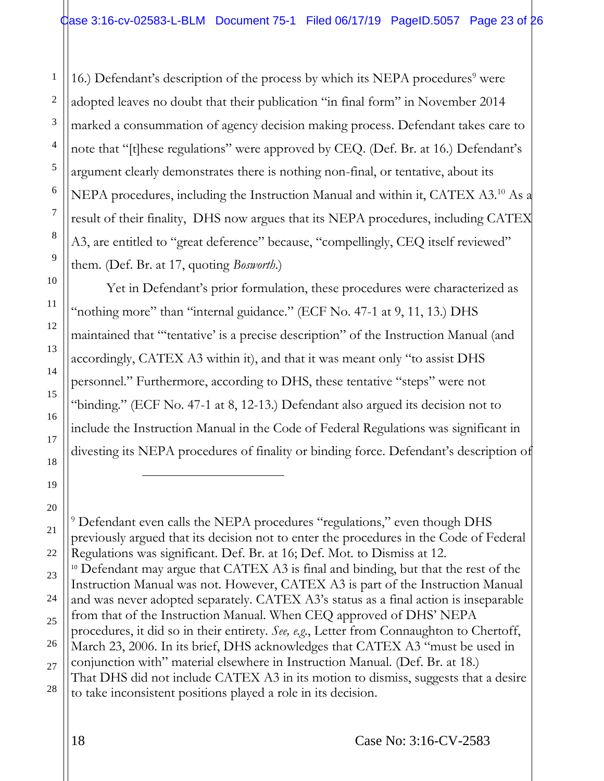16.) Defendant's description of the process by which its NEPA procedures<sup>9</sup> were adopted leaves no doubt that their publication "in final form" in November 2014 marked a consummation of agency decision making process. Defendant takes care to note that "[t]hese regulations" were approved by CEQ. (Def. Br. at 16.) Defendant's argument clearly demonstrates there is nothing non-final, or tentative, about its NEPA procedures, including the Instruction Manual and within it, CATEX A3.<sup>10</sup> As a result of their finality, DHS now argues that its NEPA procedures, including CATEX A3, are entitled to "great deference" because, "compellingly, CEQ itself reviewed" them. (Def. Br. at 17, quoting *Bosworth*.)

Yet in Defendant's prior formulation, these procedures were characterized as "nothing more" than "internal guidance." (ECF No. 47-1 at 9, 11, 13.) DHS maintained that "'tentative' is a precise description" of the Instruction Manual (and accordingly, CATEX A3 within it), and that it was meant only "to assist DHS personnel." Furthermore, according to DHS, these tentative "steps" were not "binding." (ECF No. 47-1 at 8, 12-13.) Defendant also argued its decision not to include the Instruction Manual in the Code of Federal Regulations was significant in divesting its NEPA procedures of finality or binding force. Defendant's description of

 $\overline{a}$ 

1

<sup>9</sup> Defendant even calls the NEPA procedures "regulations," even though DHS previously argued that its decision not to enter the procedures in the Code of Federal Regulations was significant. Def. Br. at 16; Def. Mot. to Dismiss at 12. <sup>10</sup> Defendant may argue that CATEX A3 is final and binding, but that the rest of the Instruction Manual was not. However, CATEX A3 is part of the Instruction Manual and was never adopted separately. CATEX A3's status as a final action is inseparable from that of the Instruction Manual. When CEQ approved of DHS' NEPA procedures, it did so in their entirety. *See, e.g*., Letter from Connaughton to Chertoff, March 23, 2006. In its brief, DHS acknowledges that CATEX A3 "must be used in conjunction with" material elsewhere in Instruction Manual. (Def. Br. at 18.) That DHS did not include CATEX A3 in its motion to dismiss, suggests that a desire to take inconsistent positions played a role in its decision.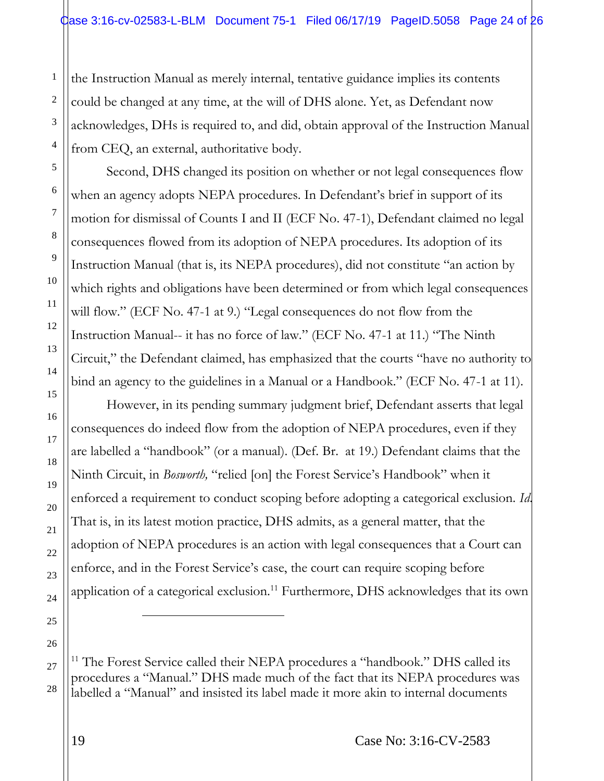the Instruction Manual as merely internal, tentative guidance implies its contents could be changed at any time, at the will of DHS alone. Yet, as Defendant now acknowledges, DHs is required to, and did, obtain approval of the Instruction Manual from CEQ, an external, authoritative body.

Second, DHS changed its position on whether or not legal consequences flow when an agency adopts NEPA procedures. In Defendant's brief in support of its motion for dismissal of Counts I and II (ECF No. 47-1), Defendant claimed no legal consequences flowed from its adoption of NEPA procedures. Its adoption of its Instruction Manual (that is, its NEPA procedures), did not constitute "an action by which rights and obligations have been determined or from which legal consequences will flow." (ECF No. 47-1 at 9.) "Legal consequences do not flow from the Instruction Manual-- it has no force of law." (ECF No. 47-1 at 11.) "The Ninth Circuit," the Defendant claimed, has emphasized that the courts "have no authority to bind an agency to the guidelines in a Manual or a Handbook." (ECF No. 47-1 at 11).

However, in its pending summary judgment brief, Defendant asserts that legal consequences do indeed flow from the adoption of NEPA procedures, even if they are labelled a "handbook" (or a manual). (Def. Br. at 19.) Defendant claims that the Ninth Circuit, in *Bosworth,* "relied [on] the Forest Service's Handbook" when it enforced a requirement to conduct scoping before adopting a categorical exclusion. *Id*. That is, in its latest motion practice, DHS admits, as a general matter, that the adoption of NEPA procedures is an action with legal consequences that a Court can enforce, and in the Forest Service's case, the court can require scoping before application of a categorical exclusion.<sup>11</sup> Furthermore, DHS acknowledges that its own

<sup>11</sup> The Forest Service called their NEPA procedures a "handbook." DHS called its procedures a "Manual." DHS made much of the fact that its NEPA procedures was labelled a "Manual" and insisted its label made it more akin to internal documents

1

2

3

4

5

6

7

8

l

<sup>9</sup> 10 11 12 13 14 15 16 17 18 19 20 21 22 23 24 25 26 27 28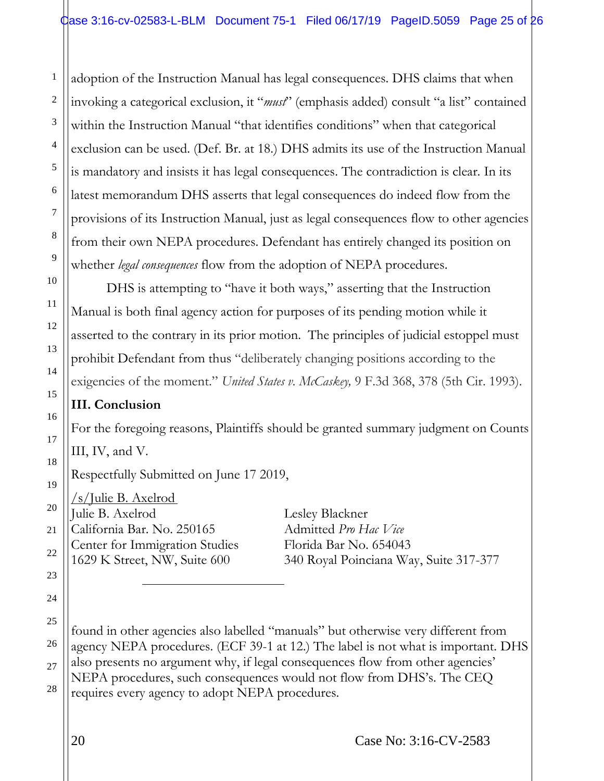adoption of the Instruction Manual has legal consequences. DHS claims that when invoking a categorical exclusion, it "*must*" (emphasis added) consult "a list" contained within the Instruction Manual "that identifies conditions" when that categorical exclusion can be used. (Def. Br. at 18.) DHS admits its use of the Instruction Manual is mandatory and insists it has legal consequences. The contradiction is clear. In its latest memorandum DHS asserts that legal consequences do indeed flow from the provisions of its Instruction Manual, just as legal consequences flow to other agencies from their own NEPA procedures. Defendant has entirely changed its position on whether *legal consequences* flow from the adoption of NEPA procedures.

DHS is attempting to "have it both ways," asserting that the Instruction Manual is both final agency action for purposes of its pending motion while it asserted to the contrary in its prior motion. The principles of judicial estoppel must prohibit Defendant from thus "deliberately changing positions according to the exigencies of the moment." *United States v. McCaskey,* 9 F.3d 368, 378 (5th Cir. 1993).

# **III. Conclusion**

1

2

3

4

5

6

7

8

9

10

11

12

13

14

15

16

17

18

19

20

21

22

23

24

25

26

27

28

For the foregoing reasons, Plaintiffs should be granted summary judgment on Counts III, IV, and V.

Respectfully Submitted on June 17 2019,

/s/Julie B. Axelrod Julie B. Axelrod Lesley Blackner California Bar. No. 250165 Admitted *Pro Hac Vice* Center for Immigration Studies Florida Bar No. 654043

 $\overline{a}$ 

1629 K Street, NW, Suite 600 340 Royal Poinciana Way, Suite 317-377

found in other agencies also labelled "manuals" but otherwise very different from agency NEPA procedures. (ECF 39-1 at 12.) The label is not what is important. DHS also presents no argument why, if legal consequences flow from other agencies' NEPA procedures, such consequences would not flow from DHS's. The CEQ requires every agency to adopt NEPA procedures.